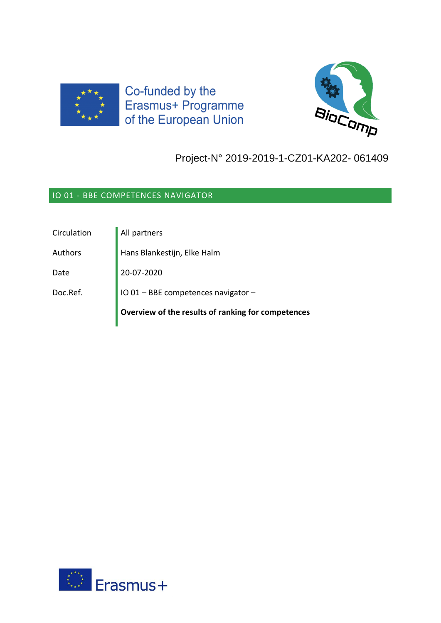

Co-funded by the Erasmus+ Programme of the European Union



# Project-N° 2019-2019-1-CZ01-KA202- 061409

## IO 01 - BBE COMPETENCES NAVIGATOR

| Circulation | All partners                                       |
|-------------|----------------------------------------------------|
| Authors     | Hans Blankestijn, Elke Halm                        |
| Date        | 20-07-2020                                         |
| Doc.Ref.    | IO 01 - BBE competences navigator -                |
|             | Overview of the results of ranking for competences |

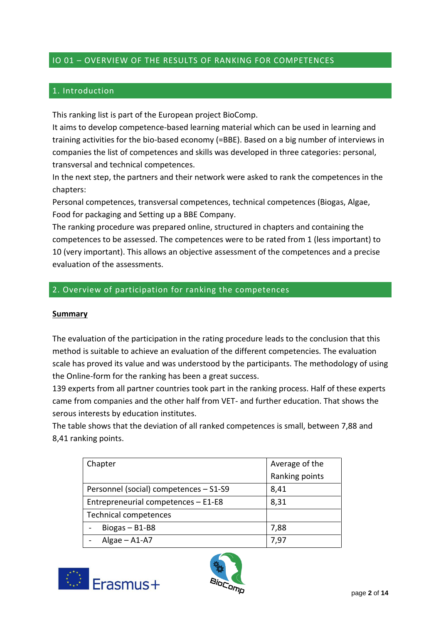## IO 01 – OVERVIEW OF THE RESULTS OF RANKING FOR COMPETENCES

## 1. Introduction

This ranking list is part of the European project BioComp.

It aims to develop competence-based learning material which can be used in learning and training activities for the bio-based economy (=BBE). Based on a big number of interviews in companies the list of competences and skills was developed in three categories: personal, transversal and technical competences.

In the next step, the partners and their network were asked to rank the competences in the chapters:

Personal competences, transversal competences, technical competences (Biogas, Algae, Food for packaging and Setting up a BBE Company.

The ranking procedure was prepared online, structured in chapters and containing the competences to be assessed. The competences were to be rated from 1 (less important) to 10 (very important). This allows an objective assessment of the competences and a precise evaluation of the assessments.

#### 2. Overview of participation for ranking the competences

#### **Summary**

The evaluation of the participation in the rating procedure leads to the conclusion that this method is suitable to achieve an evaluation of the different competencies. The evaluation scale has proved its value and was understood by the participants. The methodology of using the Online-form for the ranking has been a great success.

139 experts from all partner countries took part in the ranking process. Half of these experts came from companies and the other half from VET- and further education. That shows the serous interests by education institutes.

The table shows that the deviation of all ranked competences is small, between 7,88 and 8,41 ranking points.

| Chapter                                | Average of the |
|----------------------------------------|----------------|
|                                        | Ranking points |
| Personnel (social) competences - S1-S9 | 8,41           |
| Entrepreneurial competences - E1-E8    | 8,31           |
| <b>Technical competences</b>           |                |
| Biogas $- B1-B8$                       | 7,88           |
| Algae $-$ A1-A7                        | 7.97           |



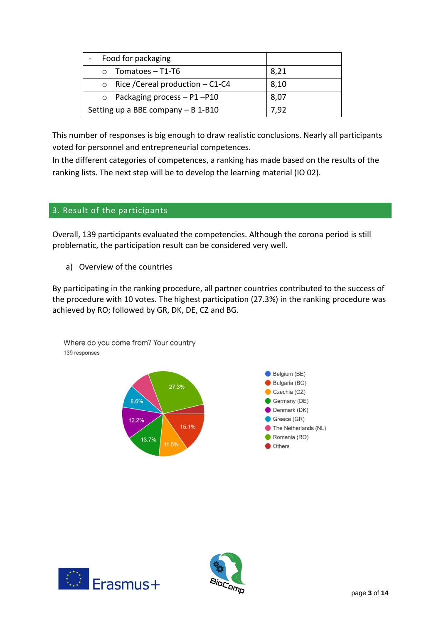| Food for packaging                       |      |
|------------------------------------------|------|
| $\circ$ Tomatoes – T1-T6                 | 8,21 |
| $\circ$ Rice / Cereal production – C1-C4 | 8,10 |
| $\circ$ Packaging process - P1-P10       | 8,07 |
| Setting up a BBE company $- B 1 - B10$   | 7,92 |

This number of responses is big enough to draw realistic conclusions. Nearly all participants voted for personnel and entrepreneurial competences.

In the different categories of competences, a ranking has made based on the results of the ranking lists. The next step will be to develop the learning material (IO 02).

## 3. Result of the participants

Overall, 139 participants evaluated the competencies. Although the corona period is still problematic, the participation result can be considered very well.

a) Overview of the countries

By participating in the ranking procedure, all partner countries contributed to the success of the procedure with 10 votes. The highest participation (27.3%) in the ranking procedure was achieved by RO; followed by GR, DK, DE, CZ and BG.

Where do you come from? Your country 139 responses





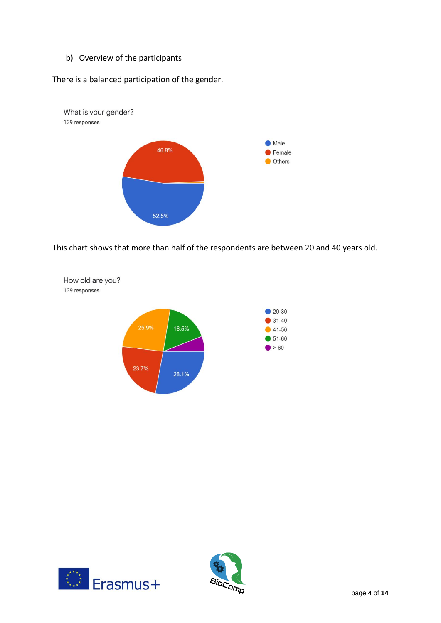b) Overview of the participants

There is a balanced participation of the gender.



This chart shows that more than half of the respondents are between 20 and 40 years old.





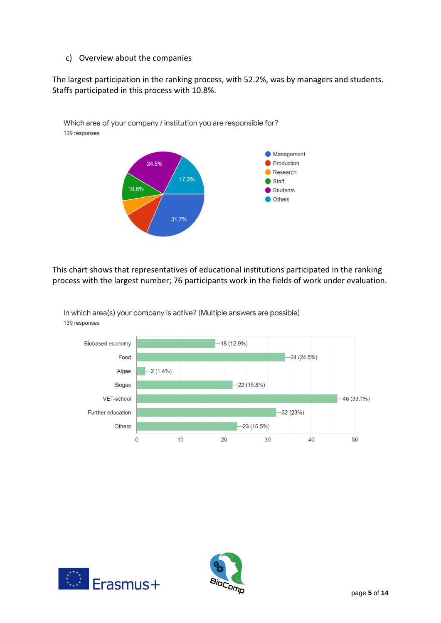c) Overview about the companies

The largest participation in the ranking process, with 52.2%, was by managers and students. Staffs participated in this process with 10.8%.



This chart shows that representatives of educational institutions participated in the ranking process with the largest number; 76 participants work in the fields of work under evaluation.



In which area(s) your company is active? (Multiple answers are possible) 139 responses



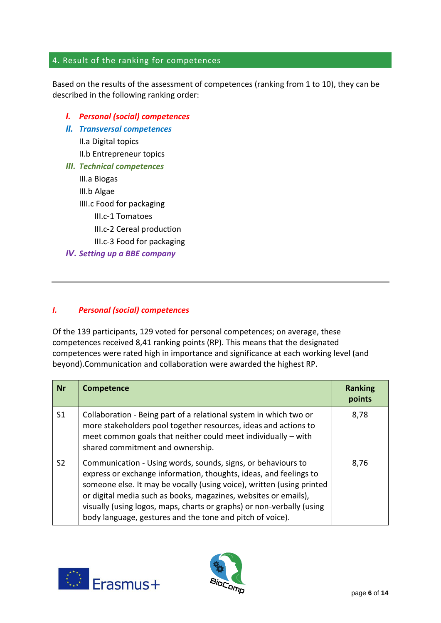## 4. Result of the ranking for competences

Based on the results of the assessment of competences (ranking from 1 to 10), they can be described in the following ranking order:

- *I. Personal (social) competences*
- *II. Transversal competences*

II.a Digital topics

- II.b Entrepreneur topics
- *III. Technical competences*

III.a Biogas III.b Algae IIII.c Food for packaging III.c-1 Tomatoes III.c-2 Cereal production III.c-3 Food for packaging *IV. Setting up a BBE company*

#### *I. Personal (social) competences*

Of the 139 participants, 129 voted for personal competences; on average, these competences received 8,41 ranking points (RP). This means that the designated competences were rated high in importance and significance at each working level (and beyond).Communication and collaboration were awarded the highest RP.

| <b>Nr</b>      | <b>Competence</b>                                                                                                                                                                                                                                                                                                                                                                                                   | <b>Ranking</b><br>points |
|----------------|---------------------------------------------------------------------------------------------------------------------------------------------------------------------------------------------------------------------------------------------------------------------------------------------------------------------------------------------------------------------------------------------------------------------|--------------------------|
| S <sub>1</sub> | Collaboration - Being part of a relational system in which two or<br>more stakeholders pool together resources, ideas and actions to<br>meet common goals that neither could meet individually - with<br>shared commitment and ownership.                                                                                                                                                                           | 8,78                     |
| S <sub>2</sub> | Communication - Using words, sounds, signs, or behaviours to<br>express or exchange information, thoughts, ideas, and feelings to<br>someone else. It may be vocally (using voice), written (using printed<br>or digital media such as books, magazines, websites or emails),<br>visually (using logos, maps, charts or graphs) or non-verbally (using<br>body language, gestures and the tone and pitch of voice). | 8,76                     |



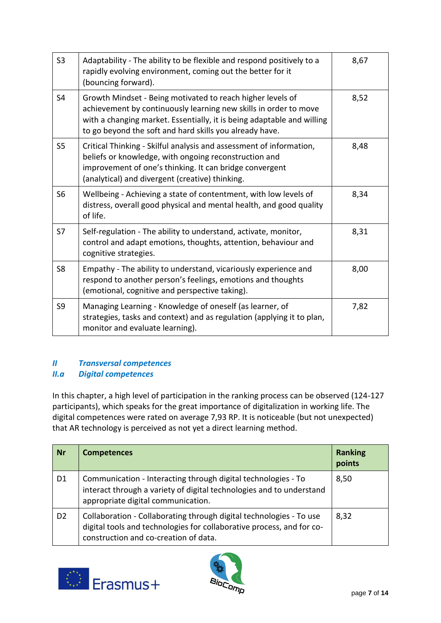| S <sub>3</sub> | Adaptability - The ability to be flexible and respond positively to a<br>rapidly evolving environment, coming out the better for it<br>(bouncing forward).                                                                                                          | 8,67 |
|----------------|---------------------------------------------------------------------------------------------------------------------------------------------------------------------------------------------------------------------------------------------------------------------|------|
| S <sub>4</sub> | Growth Mindset - Being motivated to reach higher levels of<br>achievement by continuously learning new skills in order to move<br>with a changing market. Essentially, it is being adaptable and willing<br>to go beyond the soft and hard skills you already have. | 8,52 |
| S <sub>5</sub> | Critical Thinking - Skilful analysis and assessment of information,<br>beliefs or knowledge, with ongoing reconstruction and<br>improvement of one's thinking. It can bridge convergent<br>(analytical) and divergent (creative) thinking.                          | 8,48 |
| S <sub>6</sub> | Wellbeing - Achieving a state of contentment, with low levels of<br>distress, overall good physical and mental health, and good quality<br>of life.                                                                                                                 | 8,34 |
| S7             | Self-regulation - The ability to understand, activate, monitor,<br>control and adapt emotions, thoughts, attention, behaviour and<br>cognitive strategies.                                                                                                          | 8,31 |
| S <sub>8</sub> | Empathy - The ability to understand, vicariously experience and<br>respond to another person's feelings, emotions and thoughts<br>(emotional, cognitive and perspective taking).                                                                                    | 8,00 |
| S <sub>9</sub> | Managing Learning - Knowledge of oneself (as learner, of<br>strategies, tasks and context) and as regulation (applying it to plan,<br>monitor and evaluate learning).                                                                                               | 7,82 |

## *II Transversal competences II.a Digital competences*

In this chapter, a high level of participation in the ranking process can be observed (124-127 participants), which speaks for the great importance of digitalization in working life. The digital competences were rated on average 7,93 RP. It is noticeable (but not unexpected) that AR technology is perceived as not yet a direct learning method.

| <b>Nr</b>      | <b>Competences</b>                                                                                                                                                                    | <b>Ranking</b><br>points |
|----------------|---------------------------------------------------------------------------------------------------------------------------------------------------------------------------------------|--------------------------|
| D <sub>1</sub> | Communication - Interacting through digital technologies - To<br>interact through a variety of digital technologies and to understand<br>appropriate digital communication.           | 8,50                     |
| D <sub>2</sub> | Collaboration - Collaborating through digital technologies - To use<br>digital tools and technologies for collaborative process, and for co-<br>construction and co-creation of data. | 8,32                     |



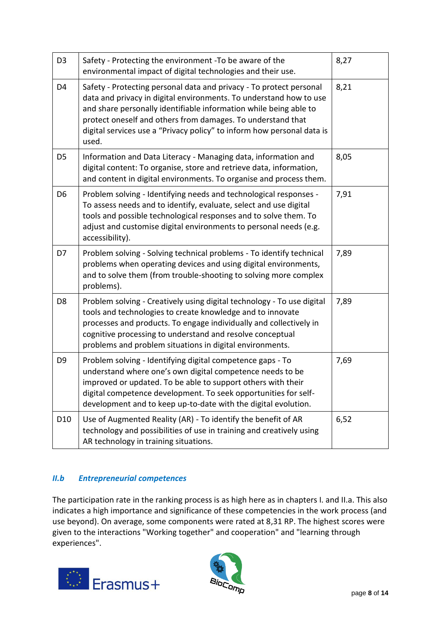| D <sub>3</sub>  | Safety - Protecting the environment -To be aware of the<br>environmental impact of digital technologies and their use.                                                                                                                                                                                                                                           | 8,27 |
|-----------------|------------------------------------------------------------------------------------------------------------------------------------------------------------------------------------------------------------------------------------------------------------------------------------------------------------------------------------------------------------------|------|
| D <sub>4</sub>  | Safety - Protecting personal data and privacy - To protect personal<br>data and privacy in digital environments. To understand how to use<br>and share personally identifiable information while being able to<br>protect oneself and others from damages. To understand that<br>digital services use a "Privacy policy" to inform how personal data is<br>used. | 8,21 |
| D <sub>5</sub>  | Information and Data Literacy - Managing data, information and<br>digital content: To organise, store and retrieve data, information,<br>and content in digital environments. To organise and process them.                                                                                                                                                      | 8,05 |
| D <sub>6</sub>  | Problem solving - Identifying needs and technological responses -<br>To assess needs and to identify, evaluate, select and use digital<br>tools and possible technological responses and to solve them. To<br>adjust and customise digital environments to personal needs (e.g.<br>accessibility).                                                               | 7,91 |
| D7              | Problem solving - Solving technical problems - To identify technical<br>problems when operating devices and using digital environments,<br>and to solve them (from trouble-shooting to solving more complex<br>problems).                                                                                                                                        | 7,89 |
| D <sub>8</sub>  | Problem solving - Creatively using digital technology - To use digital<br>tools and technologies to create knowledge and to innovate<br>processes and products. To engage individually and collectively in<br>cognitive processing to understand and resolve conceptual<br>problems and problem situations in digital environments.                              | 7,89 |
| D9              | Problem solving - Identifying digital competence gaps - To<br>understand where one's own digital competence needs to be<br>improved or updated. To be able to support others with their<br>digital competence development. To seek opportunities for self-<br>development and to keep up-to-date with the digital evolution.                                     | 7,69 |
| D <sub>10</sub> | Use of Augmented Reality (AR) - To identify the benefit of AR<br>technology and possibilities of use in training and creatively using<br>AR technology in training situations.                                                                                                                                                                                   | 6,52 |

#### *II.b Entrepreneurial competences*

The participation rate in the ranking process is as high here as in chapters I. and II.a. This also indicates a high importance and significance of these competencies in the work process (and use beyond). On average, some components were rated at 8,31 RP. The highest scores were given to the interactions "Working together" and cooperation" and "learning through experiences".



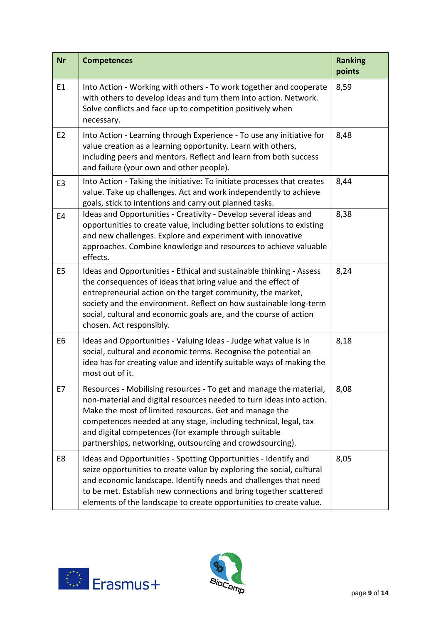| <b>Nr</b>      | <b>Competences</b>                                                                                                                                                                                                                                                                                                                                                                             | <b>Ranking</b><br>points |
|----------------|------------------------------------------------------------------------------------------------------------------------------------------------------------------------------------------------------------------------------------------------------------------------------------------------------------------------------------------------------------------------------------------------|--------------------------|
| E1             | Into Action - Working with others - To work together and cooperate<br>with others to develop ideas and turn them into action. Network.<br>Solve conflicts and face up to competition positively when<br>necessary.                                                                                                                                                                             | 8,59                     |
| E <sub>2</sub> | Into Action - Learning through Experience - To use any initiative for<br>value creation as a learning opportunity. Learn with others,<br>including peers and mentors. Reflect and learn from both success<br>and failure (your own and other people).                                                                                                                                          | 8,48                     |
| E <sub>3</sub> | Into Action - Taking the initiative: To initiate processes that creates<br>value. Take up challenges. Act and work independently to achieve<br>goals, stick to intentions and carry out planned tasks.                                                                                                                                                                                         | 8,44                     |
| E <sub>4</sub> | Ideas and Opportunities - Creativity - Develop several ideas and<br>opportunities to create value, including better solutions to existing<br>and new challenges. Explore and experiment with innovative<br>approaches. Combine knowledge and resources to achieve valuable<br>effects.                                                                                                         | 8,38                     |
| E <sub>5</sub> | Ideas and Opportunities - Ethical and sustainable thinking - Assess<br>the consequences of ideas that bring value and the effect of<br>entrepreneurial action on the target community, the market,<br>society and the environment. Reflect on how sustainable long-term<br>social, cultural and economic goals are, and the course of action<br>chosen. Act responsibly.                       | 8,24                     |
| E <sub>6</sub> | Ideas and Opportunities - Valuing Ideas - Judge what value is in<br>social, cultural and economic terms. Recognise the potential an<br>idea has for creating value and identify suitable ways of making the<br>most out of it.                                                                                                                                                                 | 8,18                     |
| E7             | Resources - Mobilising resources - To get and manage the material,<br>non-material and digital resources needed to turn ideas into action.<br>Make the most of limited resources. Get and manage the<br>competences needed at any stage, including technical, legal, tax<br>and digital competences (for example through suitable<br>partnerships, networking, outsourcing and crowdsourcing). | 8,08                     |
| E8             | Ideas and Opportunities - Spotting Opportunities - Identify and<br>seize opportunities to create value by exploring the social, cultural<br>and economic landscape. Identify needs and challenges that need<br>to be met. Establish new connections and bring together scattered<br>elements of the landscape to create opportunities to create value.                                         | 8,05                     |



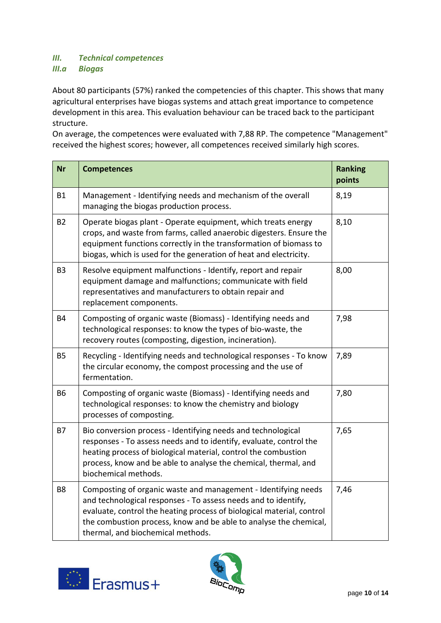#### *III. Technical competences III.a Biogas*

About 80 participants (57%) ranked the competencies of this chapter. This shows that many agricultural enterprises have biogas systems and attach great importance to competence development in this area. This evaluation behaviour can be traced back to the participant structure.

On average, the competences were evaluated with 7,88 RP. The competence "Management" received the highest scores; however, all competences received similarly high scores.

| <b>Nr</b>      | <b>Competences</b>                                                                                                                                                                                                                                                                                                  | <b>Ranking</b><br>points |
|----------------|---------------------------------------------------------------------------------------------------------------------------------------------------------------------------------------------------------------------------------------------------------------------------------------------------------------------|--------------------------|
| <b>B1</b>      | Management - Identifying needs and mechanism of the overall<br>managing the biogas production process.                                                                                                                                                                                                              | 8,19                     |
| <b>B2</b>      | Operate biogas plant - Operate equipment, which treats energy<br>crops, and waste from farms, called anaerobic digesters. Ensure the<br>equipment functions correctly in the transformation of biomass to<br>biogas, which is used for the generation of heat and electricity.                                      | 8,10                     |
| B <sub>3</sub> | Resolve equipment malfunctions - Identify, report and repair<br>equipment damage and malfunctions; communicate with field<br>representatives and manufacturers to obtain repair and<br>replacement components.                                                                                                      | 8,00                     |
| <b>B4</b>      | Composting of organic waste (Biomass) - Identifying needs and<br>technological responses: to know the types of bio-waste, the<br>recovery routes (composting, digestion, incineration).                                                                                                                             | 7,98                     |
| <b>B5</b>      | Recycling - Identifying needs and technological responses - To know<br>the circular economy, the compost processing and the use of<br>fermentation.                                                                                                                                                                 | 7,89                     |
| <b>B6</b>      | Composting of organic waste (Biomass) - Identifying needs and<br>technological responses: to know the chemistry and biology<br>processes of composting.                                                                                                                                                             | 7,80                     |
| <b>B7</b>      | Bio conversion process - Identifying needs and technological<br>responses - To assess needs and to identify, evaluate, control the<br>heating process of biological material, control the combustion<br>process, know and be able to analyse the chemical, thermal, and<br>biochemical methods.                     | 7,65                     |
| B <sub>8</sub> | Composting of organic waste and management - Identifying needs<br>and technological responses - To assess needs and to identify,<br>evaluate, control the heating process of biological material, control<br>the combustion process, know and be able to analyse the chemical,<br>thermal, and biochemical methods. | 7,46                     |



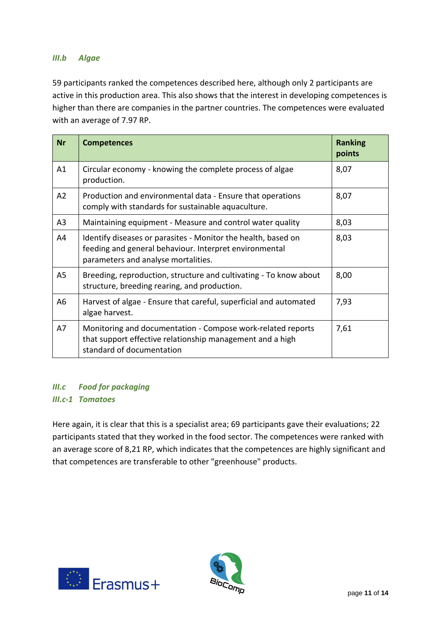#### *III.b Algae*

59 participants ranked the competences described here, although only 2 participants are active in this production area. This also shows that the interest in developing competences is higher than there are companies in the partner countries. The competences were evaluated with an average of 7.97 RP.

| <b>Nr</b>      | <b>Competences</b>                                                                                                                                             | <b>Ranking</b><br>points |
|----------------|----------------------------------------------------------------------------------------------------------------------------------------------------------------|--------------------------|
| A1             | Circular economy - knowing the complete process of algae<br>production.                                                                                        | 8,07                     |
| A2             | Production and environmental data - Ensure that operations<br>comply with standards for sustainable aquaculture.                                               | 8,07                     |
| A <sub>3</sub> | Maintaining equipment - Measure and control water quality                                                                                                      | 8,03                     |
| A4             | Identify diseases or parasites - Monitor the health, based on<br>feeding and general behaviour. Interpret environmental<br>parameters and analyse mortalities. | 8,03                     |
| A5             | Breeding, reproduction, structure and cultivating - To know about<br>structure, breeding rearing, and production.                                              | 8,00                     |
| A <sub>6</sub> | Harvest of algae - Ensure that careful, superficial and automated<br>algae harvest.                                                                            | 7,93                     |
| A7             | Monitoring and documentation - Compose work-related reports<br>that support effective relationship management and a high<br>standard of documentation          | 7,61                     |

## *III.c Food for packaging III.c-1 Tomatoes*

Here again, it is clear that this is a specialist area; 69 participants gave their evaluations; 22 participants stated that they worked in the food sector. The competences were ranked with an average score of 8,21 RP, which indicates that the competences are highly significant and that competences are transferable to other "greenhouse" products.



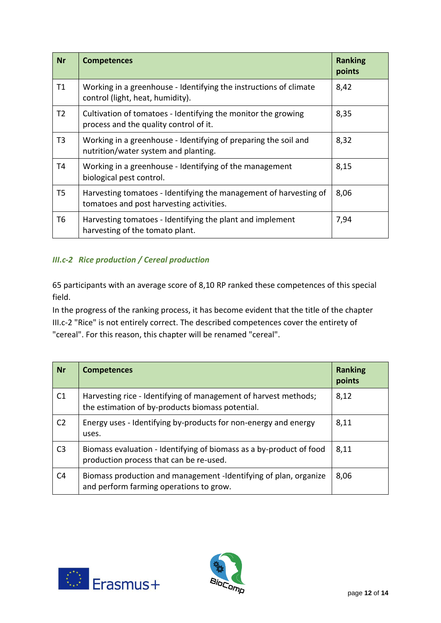| <b>Nr</b>      | <b>Competences</b>                                                                                            | <b>Ranking</b><br>points |
|----------------|---------------------------------------------------------------------------------------------------------------|--------------------------|
| T1             | Working in a greenhouse - Identifying the instructions of climate<br>control (light, heat, humidity).         | 8,42                     |
| T <sub>2</sub> | Cultivation of tomatoes - Identifying the monitor the growing<br>process and the quality control of it.       | 8,35                     |
| T <sub>3</sub> | Working in a greenhouse - Identifying of preparing the soil and<br>nutrition/water system and planting.       | 8,32                     |
| T4             | Working in a greenhouse - Identifying of the management<br>biological pest control.                           | 8,15                     |
| T5             | Harvesting tomatoes - Identifying the management of harvesting of<br>tomatoes and post harvesting activities. | 8,06                     |
| T6             | Harvesting tomatoes - Identifying the plant and implement<br>harvesting of the tomato plant.                  | 7,94                     |

## *III.c-2 Rice production / Cereal production*

65 participants with an average score of 8,10 RP ranked these competences of this special field.

In the progress of the ranking process, it has become evident that the title of the chapter III.c-2 "Rice" is not entirely correct. The described competences cover the entirety of "cereal". For this reason, this chapter will be renamed "cereal".

| <b>Nr</b>      | <b>Competences</b>                                                                                                  | <b>Ranking</b><br>points |
|----------------|---------------------------------------------------------------------------------------------------------------------|--------------------------|
| C <sub>1</sub> | Harvesting rice - Identifying of management of harvest methods;<br>the estimation of by-products biomass potential. | 8,12                     |
| C <sub>2</sub> | Energy uses - Identifying by-products for non-energy and energy<br>uses.                                            | 8,11                     |
| C <sub>3</sub> | Biomass evaluation - Identifying of biomass as a by-product of food<br>production process that can be re-used.      | 8,11                     |
| C4             | Biomass production and management -Identifying of plan, organize<br>and perform farming operations to grow.         | 8,06                     |



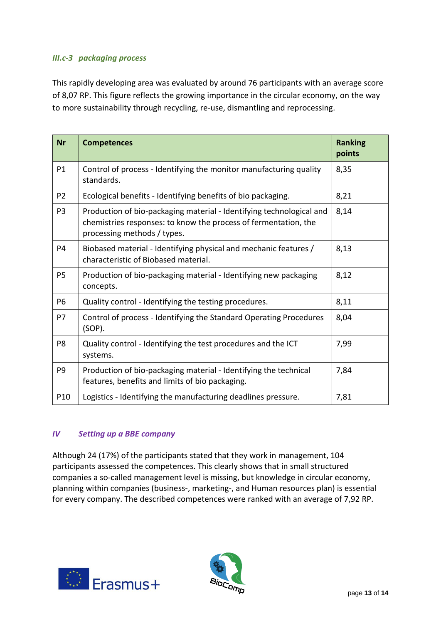#### *III.c-3 packaging process*

This rapidly developing area was evaluated by around 76 participants with an average score of 8,07 RP. This figure reflects the growing importance in the circular economy, on the way to more sustainability through recycling, re-use, dismantling and reprocessing.

| <b>Nr</b>      | <b>Competences</b>                                                                                                                                                     | <b>Ranking</b><br>points |
|----------------|------------------------------------------------------------------------------------------------------------------------------------------------------------------------|--------------------------|
| P1             | Control of process - Identifying the monitor manufacturing quality<br>standards.                                                                                       | 8,35                     |
| P <sub>2</sub> | Ecological benefits - Identifying benefits of bio packaging.                                                                                                           | 8,21                     |
| P <sub>3</sub> | Production of bio-packaging material - Identifying technological and<br>chemistries responses: to know the process of fermentation, the<br>processing methods / types. | 8,14                     |
| P <sub>4</sub> | Biobased material - Identifying physical and mechanic features /<br>characteristic of Biobased material.                                                               | 8,13                     |
| <b>P5</b>      | Production of bio-packaging material - Identifying new packaging<br>concepts.                                                                                          | 8,12                     |
| <b>P6</b>      | Quality control - Identifying the testing procedures.                                                                                                                  | 8,11                     |
| <b>P7</b>      | Control of process - Identifying the Standard Operating Procedures<br>$(SOP)$ .                                                                                        | 8,04                     |
| P <sub>8</sub> | Quality control - Identifying the test procedures and the ICT<br>systems.                                                                                              | 7,99                     |
| P <sub>9</sub> | Production of bio-packaging material - Identifying the technical<br>features, benefits and limits of bio packaging.                                                    | 7,84                     |
| P10            | Logistics - Identifying the manufacturing deadlines pressure.                                                                                                          | 7,81                     |

#### *IV Setting up a BBE company*

Although 24 (17%) of the participants stated that they work in management, 104 participants assessed the competences. This clearly shows that in small structured companies a so-called management level is missing, but knowledge in circular economy, planning within companies (business-, marketing-, and Human resources plan) is essential for every company. The described competences were ranked with an average of 7,92 RP.